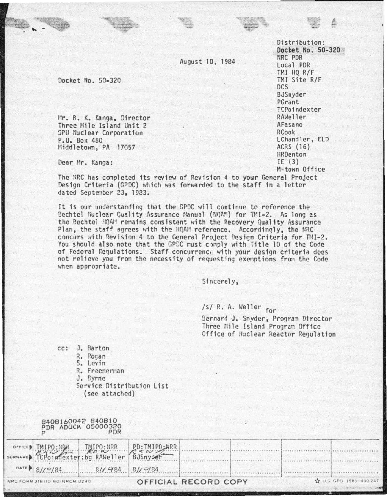August 10, 1984

Docket No. 50-320

Mr. B. K. Kanga, Director Three Mile Island Unit 2 GPU Nuclear Corporation P.O. Box 480 Middletown, PA 17057

Distribution: Docket No. 50-320 NRC PDR Local PDR TMI HO R/F TMI Site R/F  $DCS$ BJSnyder PGrant TCPoindexter RAWeller AFasano RCook LChandler, ELD ACRS (16) **HRDenton** IE $(3)$ M-town Office

Dear Mr. Kanga:

The NRC has completed its review of Revision 4 to your General Project Design Criteria (GPDC) which was forwarded to the staff in a letter dated September 23, 1983.

It is our understanding that the GPDC will continue to reference the Bechtel Nuclear Quality Assurance Manual (NOAM) for TM1-2. As long as the Bechtel HQAM remains consistent with the Recovery Quality Assurance Plan, the staff agrees with the HQAM reference. Accordingly, the NRC concurs with Revision 4 to the General Project Design Criteria for TMI-2. You should also note that the GPDC must comply with Title 10 of the Code of Federal Regulations. Staff concurrence with your design criteria does not relieve you from the necessity of requesting exemptions from the Code when appropriate.

Sincerely.

/s/ R. A. Weller for

Bernard J. Snyder, Program Director Three Mile Island Program Office Office of Nuclear Reactor Regulation

cc: J. Barton R. Rogan S. Levin R. Freememan J. Syrne Service Distribution List (see attached)

|                                                  | B408160042 840810<br>PDR                                                             |                      |  |                          |
|--------------------------------------------------|--------------------------------------------------------------------------------------|----------------------|--|--------------------------|
|                                                  | SUPER THIPO:NPR THIPO:NRR PD:TMIPO:NRR<br>SUPERMED TCPointexter;bg RAWeller BJSnyder |                      |  |                          |
| DATED $8100/84$<br>NRC FORM 318 110 BOINROM 0240 | $81/984$ $81/984$                                                                    | OFFICIAL RECORD COPY |  | 17 U.S. GPO 1983-400-247 |
|                                                  |                                                                                      |                      |  |                          |